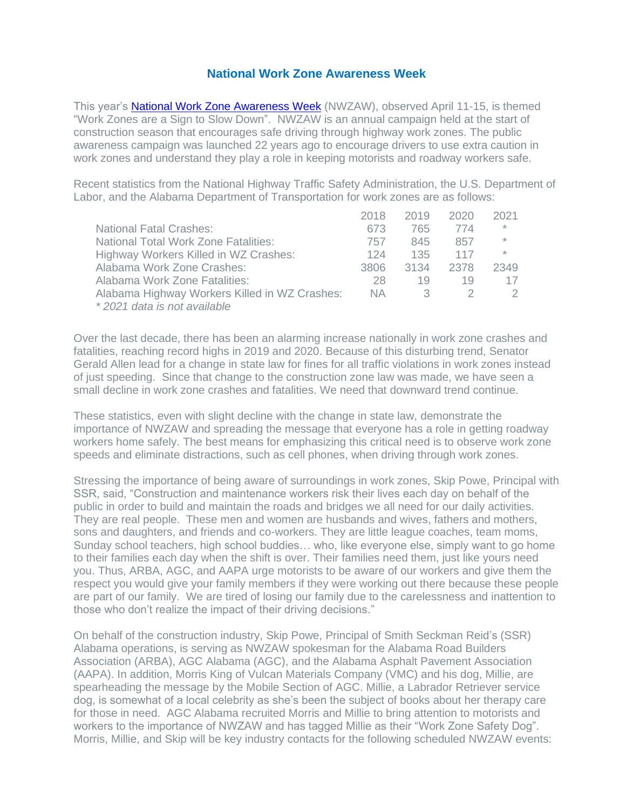## **National Work Zone Awareness Week**

This year's [National Work Zone Awareness Week](https://www.nwzaw.org/) (NWZAW), observed April 11-15, is themed "Work Zones are a Sign to Slow Down". NWZAW is an annual campaign held at the start of construction season that encourages safe driving through highway work zones. The public awareness campaign was launched 22 years ago to encourage drivers to use extra caution in work zones and understand they play a role in keeping motorists and roadway workers safe.

Recent statistics from the National Highway Traffic Safety Administration, the U.S. Department of Labor, and the Alabama Department of Transportation for work zones are as follows:

|                                               | 2018 | 2019 | 2020 | 2021    |
|-----------------------------------------------|------|------|------|---------|
| <b>National Fatal Crashes:</b>                | 673  | 765  | 774  | $\star$ |
| <b>National Total Work Zone Fatalities:</b>   | 757  | 845  | 857  | $\star$ |
| Highway Workers Killed in WZ Crashes:         | 124  | 135  | 117  | $\star$ |
| Alabama Work Zone Crashes:                    | 3806 | 3134 | 2378 | 2349    |
| Alabama Work Zone Fatalities:                 | 28   | 19   | 19   | 17      |
| Alabama Highway Workers Killed in WZ Crashes: | NA.  | 3    |      | 2       |
| *2021 data is not available                   |      |      |      |         |

Over the last decade, there has been an alarming increase nationally in work zone crashes and fatalities, reaching record highs in 2019 and 2020. Because of this disturbing trend, Senator Gerald Allen lead for a change in state law for fines for all traffic violations in work zones instead of just speeding. Since that change to the construction zone law was made, we have seen a small decline in work zone crashes and fatalities. We need that downward trend continue.

These statistics, even with slight decline with the change in state law, demonstrate the importance of NWZAW and spreading the message that everyone has a role in getting roadway workers home safely. The best means for emphasizing this critical need is to observe work zone speeds and eliminate distractions, such as cell phones, when driving through work zones.

Stressing the importance of being aware of surroundings in work zones, Skip Powe, Principal with SSR, said, "Construction and maintenance workers risk their lives each day on behalf of the public in order to build and maintain the roads and bridges we all need for our daily activities. They are real people. These men and women are husbands and wives, fathers and mothers, sons and daughters, and friends and co-workers. They are little league coaches, team moms, Sunday school teachers, high school buddies… who, like everyone else, simply want to go home to their families each day when the shift is over. Their families need them, just like yours need you. Thus, ARBA, AGC, and AAPA urge motorists to be aware of our workers and give them the respect you would give your family members if they were working out there because these people are part of our family. We are tired of losing our family due to the carelessness and inattention to those who don't realize the impact of their driving decisions."

On behalf of the construction industry, Skip Powe, Principal of Smith Seckman Reid's (SSR) Alabama operations, is serving as NWZAW spokesman for the Alabama Road Builders Association (ARBA), AGC Alabama (AGC), and the Alabama Asphalt Pavement Association (AAPA). In addition, Morris King of Vulcan Materials Company (VMC) and his dog, Millie, are spearheading the message by the Mobile Section of AGC. Millie, a Labrador Retriever service dog, is somewhat of a local celebrity as she's been the subject of books about her therapy care for those in need. AGC Alabama recruited Morris and Millie to bring attention to motorists and workers to the importance of NWZAW and has tagged Millie as their "Work Zone Safety Dog". Morris, Millie, and Skip will be key industry contacts for the following scheduled NWZAW events: